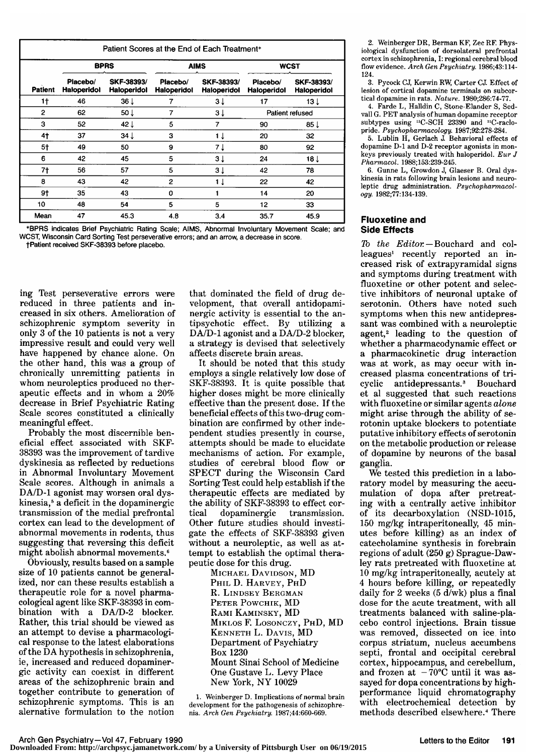|                | Patient Scores at the End of Each Treatment* |                                  |                                |                           |                         |                                  |  |  |
|----------------|----------------------------------------------|----------------------------------|--------------------------------|---------------------------|-------------------------|----------------------------------|--|--|
| <b>Patient</b> | <b>BPRS</b>                                  |                                  | <b>AIMS</b>                    |                           | <b>WCST</b>             |                                  |  |  |
|                | Placebo/<br><b>Haioperidol</b>               | SKF-38393/<br><b>Haloperidol</b> | Placebo/<br><b>Haloperidol</b> | SKF-38393/<br>Haloperidol | Placebo/<br>Haloperidol | SKF-38393/<br><b>Haloperidol</b> |  |  |
| 1†             | 46                                           | $36\downarrow$                   | 7                              | 3 <sub>1</sub>            | 17                      | 13 <sub>1</sub>                  |  |  |
| $\overline{2}$ | 62                                           | 50 J                             | 7                              | ЗĮ                        | Patient refused         |                                  |  |  |
| 3              | 52                                           | 42 $\downarrow$                  | 5                              | 7                         | 90                      | 85 J                             |  |  |
| 4†             | 37                                           | $34 \downarrow$                  | 3                              | 1 J                       | 20                      | 32                               |  |  |
| 5†             | 49                                           | 50                               | 9                              | 7 J                       | 80                      | 92                               |  |  |
| 6              | 42                                           | 45                               | 5                              | 3 <sub>1</sub>            | 24                      | 18 <sub>1</sub>                  |  |  |
| 7†             | 56                                           | 57                               | 5                              | 3 <sub>1</sub>            | 42                      | 78                               |  |  |
| 8              | 43                                           | 42                               | $\overline{2}$                 | 1 J                       | 22                      | 42                               |  |  |
| $9+$           | 35                                           | 43                               | 0                              | 1                         | 14                      | 20                               |  |  |
| 10             | 48                                           | 54                               | 5                              | 5                         | 12                      | 33                               |  |  |
| Mean           | 47                                           | 45.3                             | 4.8                            | 3.4                       | 35.7                    | 45.9                             |  |  |

\*BPRS indicates Brief Psychiatric Rating Scale; AIMS, Abnormal Involuntary Movement Scale; and WCST, Wisconsin Card Sorting Test perseverative errors; and an arrow, a decrease in score. tPatlent received SKF-38393 before placebo.

ing Test perseverative errors were reduced in three patients and in creased in six others. Amelioration of schizophrenic symptom severity in only <sup>3</sup> of the <sup>10</sup> patients is not <sup>a</sup> very impressive result and could very well have happened by chance alone. On the other hand, this was <sup>a</sup> group of chronically unremitting patients in whom neuroleptics produced no therapeutic effects and in whom <sup>a</sup> 20% decrease in Brief Psychiatric Rating Scale scores constituted <sup>a</sup> clinically meaningful effect.

Probably the most discernible beneficial effect associated with SKF-38393 was the improvement of tardive dyskinesia as reflected by reductions in Abnormal Involuntary Movement Scale scores. Although in animals <sup>a</sup> DA/D-1 agonist may worsen oral dyskinesia,<sup>5</sup> a deficit in the dopaminergic transmission of the medial prefrontal cortex can lead to the development of abnormal movements in rodents, thus suggesting that reversing this deficit might abolish abnormal movements.6

Obviously, results based on <sup>a</sup> sample size of 10 patients cannot be generalized, nor can these results establish <sup>a</sup> therapeutic role for a novel pharmacological agent like SKF-38393 in com bination with a DA/D-2 blocker. Rather, this trial should be viewed as an attempt to devise a pharmacological response to the latest elaborations of the DA hypothesis in schizophrenia, ie, increased and reduced dopaminergic activity can coexist in different areas of the schizophrenic brain and together contribute to generation of schizophrenic symptoms. This is an alernative formulation to the notion

that dominated the field of drug development, that overall antidopaminergic activity is essential to the an tipsychotic effect. By utilizing <sup>a</sup> DA/D-1 agonist and <sup>a</sup> DA/D-2 blocker, <sup>a</sup> strategy is devised that selectively affects discrete brain areas.

It should be noted that this study employs <sup>a</sup> single relatively low dose of SKF-38393. It is quite possible that higher doses might be more clinically effective than the present dose. If the beneficial effects of this two-drug combination are confirmed by other independent studies presently in course, attempts should be made to elucidate mechanisms of action. For example, studies of cerebral blood flow or SPECT during the Wisconsin Card Sorting Test could help establish if the therapeutic effects are mediated by the ability of SKF-38393 to effect cor-<br>tical dopaminergic transmission. dopaminergic transmission. Other future studies should investigate the effects of SKF-38393 given without a neuroleptic, as well as attempt to establish the optimal therapeutic dose for this drug.

Michael Davidson, MD Phil D. Harvey, PhD R. Lindsey Bergman PETER POWCHIK, MD Rami Kaminsky, MD Miklos F. Losonczy, PhD, MD Kenneth L. Davis, MD Department of Psychiatry Box 1230 Mount Sinai School of Medicine One Gustave L. Levy Place New York, NY <sup>10029</sup>

1. Weinberger D. Implications of normal brain development for the pathogenesis of schizophrenia. Arch Gen Psychiatry. 1987;44:660-669.

2. Weinberger DR, Berman KF, Zec RF. Physiological dysfunction of dorsolateral prefrontal cortex in schizophrenia, I: regional cerebral blood flow evidence. Arch Gen Psychiatry. 1986;43:114-124.

3. Pycock CJ, Kerwin RW, Carter CJ. Effect of lesion of cortical dopamine terminals on subcortical dopamine in rats. Nature. 1980;286:74-77.

4. Farde L, Halldin C, Stone-Elander S, Sedvall G. PET analysis of human dopamine receptor subtypes using 11C-SCH 23390 and 11C-raclopride. Psychopharmacology. 1987;92:278-284.

5. Lublin H, Gerlach J. Behavioral effects of dopamine D-1 and D-2 receptor agonists in monkeys previously treated with haloperidol. Eur J Pharmacol. 1988;153:239-245.

6. Gunne L, Growdon J, Glaeser B. Oral dyskinesia in rats following brain lesions and neuroleptic drug administration. Psychopharmacology. 1982;77:134-139.

## Fluoxetine and Side Effects

To the Editor. - Bouchard and colleagues<sup>1</sup> recently reported an increased risk of extrapyramidal signs and symptoms during treatment with fluoxetine or other potent and selective inhibitors of neuronal uptake of serotonin. Others have noted such symptoms when this new antidepressant was combined with <sup>a</sup> neuroleptic agent,<sup>2</sup> leading to the question of whether <sup>a</sup> pharmacodynamic effect or <sup>a</sup> pharmacokinetic drug interaction was at work, as may occur with increased plasma concentrations of tri-<br>cyclic antidepressants.<sup>3</sup> Bouchard antidepressants.<sup>3</sup> et al suggested that such reactions with fluoxetine or similar agents *alone* might arise through the ability of serotonin uptake blockers to potentiate putative inhibitory effects of serotonin on the metabolic production or release of dopamine by neurons of the basal ganglia.

We tested this prediction in <sup>a</sup> laboratory model by measuring the accumulation of dopa after pretreating with <sup>a</sup> centrally active inhibitor of its decarboxylation (NSD-1015, <sup>150</sup> mg/kg intraperitoneally, 45 minutes before killing) as an index of catecholamine synthesis in forebrain regions of adult (250 g) Sprague-Dawley rats pretreated with fluoxetine at <sup>10</sup> mg/kg intraperitoneally, acutely at <sup>4</sup> hours before killing, or repeatedly daily for <sup>2</sup> weeks (5 d/wk) plus <sup>a</sup> final dose for the acute treatment, with all treatments balanced with saline-pla cebo control injections. Brain tissue was removed, dissected on ice into corpus striatum, nucleus accumbens septi, frontal and occipital cerebral cortex, hippocampus, and cerebellum, and frozen at  $-70^{\circ}$ C until it was assayed for dopa concentrations by highperformance liquid chromatography with electrochemical detection by methods described elsewhere.4 There